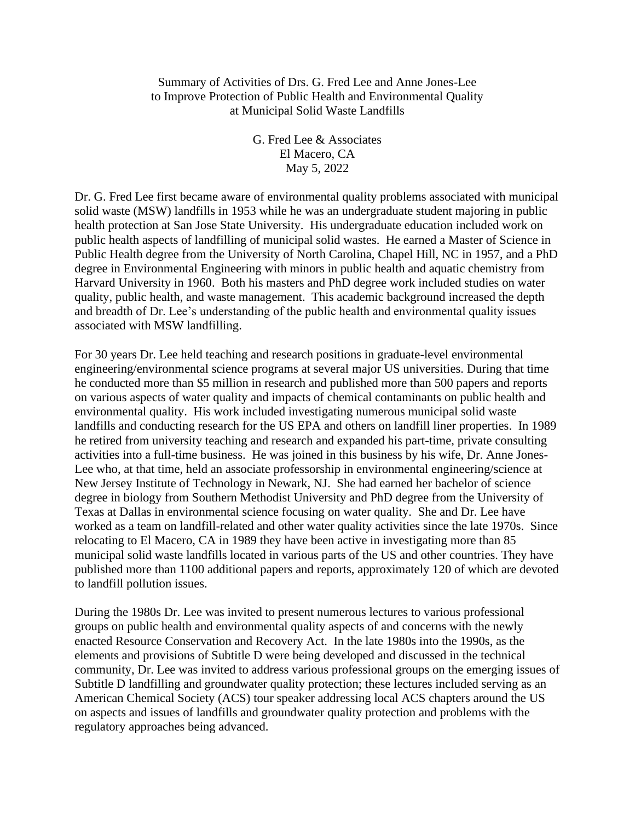Summary of Activities of Drs. G. Fred Lee and Anne Jones-Lee to Improve Protection of Public Health and Environmental Quality at Municipal Solid Waste Landfills

> G. Fred Lee & Associates El Macero, CA May 5, 2022

Dr. G. Fred Lee first became aware of environmental quality problems associated with municipal solid waste (MSW) landfills in 1953 while he was an undergraduate student majoring in public health protection at San Jose State University. His undergraduate education included work on public health aspects of landfilling of municipal solid wastes. He earned a Master of Science in Public Health degree from the University of North Carolina, Chapel Hill, NC in 1957, and a PhD degree in Environmental Engineering with minors in public health and aquatic chemistry from Harvard University in 1960. Both his masters and PhD degree work included studies on water quality, public health, and waste management. This academic background increased the depth and breadth of Dr. Lee's understanding of the public health and environmental quality issues associated with MSW landfilling.

For 30 years Dr. Lee held teaching and research positions in graduate-level environmental engineering/environmental science programs at several major US universities. During that time he conducted more than \$5 million in research and published more than 500 papers and reports on various aspects of water quality and impacts of chemical contaminants on public health and environmental quality. His work included investigating numerous municipal solid waste landfills and conducting research for the US EPA and others on landfill liner properties. In 1989 he retired from university teaching and research and expanded his part-time, private consulting activities into a full-time business. He was joined in this business by his wife, Dr. Anne Jones-Lee who, at that time, held an associate professorship in environmental engineering/science at New Jersey Institute of Technology in Newark, NJ. She had earned her bachelor of science degree in biology from Southern Methodist University and PhD degree from the University of Texas at Dallas in environmental science focusing on water quality. She and Dr. Lee have worked as a team on landfill-related and other water quality activities since the late 1970s. Since relocating to El Macero, CA in 1989 they have been active in investigating more than 85 municipal solid waste landfills located in various parts of the US and other countries. They have published more than 1100 additional papers and reports, approximately 120 of which are devoted to landfill pollution issues.

During the 1980s Dr. Lee was invited to present numerous lectures to various professional groups on public health and environmental quality aspects of and concerns with the newly enacted Resource Conservation and Recovery Act. In the late 1980s into the 1990s, as the elements and provisions of Subtitle D were being developed and discussed in the technical community, Dr. Lee was invited to address various professional groups on the emerging issues of Subtitle D landfilling and groundwater quality protection; these lectures included serving as an American Chemical Society (ACS) tour speaker addressing local ACS chapters around the US on aspects and issues of landfills and groundwater quality protection and problems with the regulatory approaches being advanced.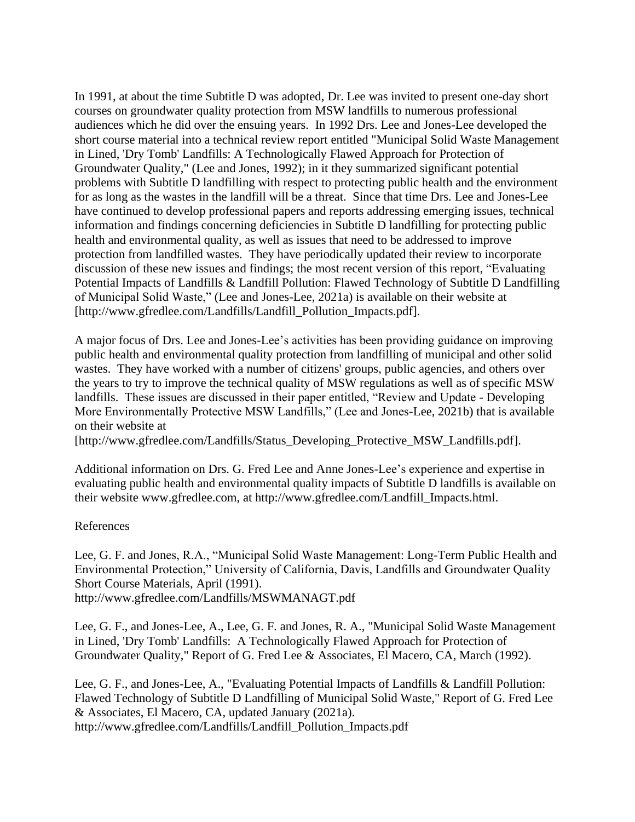In 1991, at about the time Subtitle D was adopted, Dr. Lee was invited to present one-day short courses on groundwater quality protection from MSW landfills to numerous professional audiences which he did over the ensuing years. In 1992 Drs. Lee and Jones-Lee developed the short course material into a technical review report entitled "Municipal Solid Waste Management in Lined, 'Dry Tomb' Landfills: A Technologically Flawed Approach for Protection of Groundwater Quality," (Lee and Jones, 1992); in it they summarized significant potential problems with Subtitle D landfilling with respect to protecting public health and the environment for as long as the wastes in the landfill will be a threat. Since that time Drs. Lee and Jones-Lee have continued to develop professional papers and reports addressing emerging issues, technical information and findings concerning deficiencies in Subtitle D landfilling for protecting public health and environmental quality, as well as issues that need to be addressed to improve protection from landfilled wastes. They have periodically updated their review to incorporate discussion of these new issues and findings; the most recent version of this report, "Evaluating Potential Impacts of Landfills & Landfill Pollution: Flawed Technology of Subtitle D Landfilling of Municipal Solid Waste," (Lee and Jones-Lee, 2021a) is available on their website at [http://www.gfredlee.com/Landfills/Landfill\_Pollution\_Impacts.pdf].

A major focus of Drs. Lee and Jones-Lee's activities has been providing guidance on improving public health and environmental quality protection from landfilling of municipal and other solid wastes. They have worked with a number of citizens' groups, public agencies, and others over the years to try to improve the technical quality of MSW regulations as well as of specific MSW landfills. These issues are discussed in their paper entitled, "Review and Update - Developing More Environmentally Protective MSW Landfills," (Lee and Jones-Lee, 2021b) that is available on their website at

[http://www.gfredlee.com/Landfills/Status\_Developing\_Protective\_MSW\_Landfills.pdf].

Additional information on Drs. G. Fred Lee and Anne Jones-Lee's experience and expertise in evaluating public health and environmental quality impacts of Subtitle D landfills is available on their website www.gfredlee.com, at http://www.gfredlee.com/Landfill\_Impacts.html.

## References

Lee, G. F. and Jones, R.A., "Municipal Solid Waste Management: Long-Term Public Health and Environmental Protection," University of California, Davis, Landfills and Groundwater Quality Short Course Materials, April (1991). http://www.gfredlee.com/Landfills/MSWMANAGT.pdf

Lee, G. F., and Jones-Lee, A., Lee, G. F. and Jones, R. A., "Municipal Solid Waste Management in Lined, 'Dry Tomb' Landfills: A Technologically Flawed Approach for Protection of Groundwater Quality," Report of G. Fred Lee & Associates, El Macero, CA, March (1992).

Lee, G. F., and Jones-Lee, A., "Evaluating Potential Impacts of Landfills & Landfill Pollution: Flawed Technology of Subtitle D Landfilling of Municipal Solid Waste," Report of G. Fred Lee & Associates, El Macero, CA, updated January (2021a). http://www.gfredlee.com/Landfills/Landfill\_Pollution\_Impacts.pdf